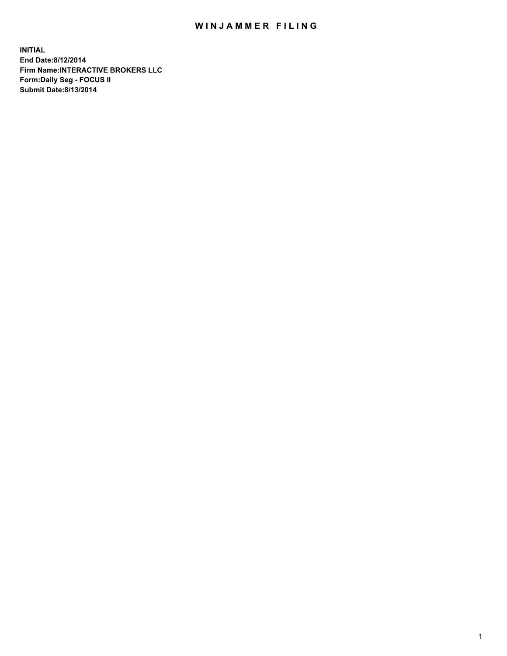## WIN JAMMER FILING

**INITIAL End Date:8/12/2014 Firm Name:INTERACTIVE BROKERS LLC Form:Daily Seg - FOCUS II Submit Date:8/13/2014**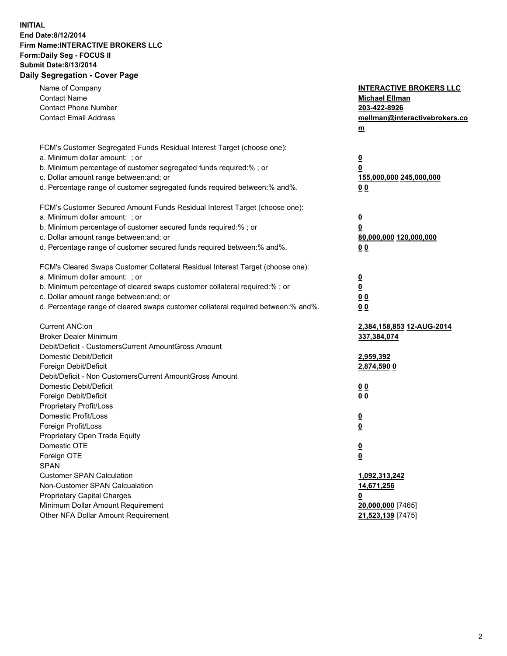## **INITIAL End Date:8/12/2014 Firm Name:INTERACTIVE BROKERS LLC Form:Daily Seg - FOCUS II Submit Date:8/13/2014 Daily Segregation - Cover Page**

| Name of Company<br><b>Contact Name</b><br><b>Contact Phone Number</b><br><b>Contact Email Address</b>                                                                                                                                                                                                                          | <b>INTERACTIVE BROKERS LLC</b><br><b>Michael Ellman</b><br>203-422-8926<br>mellman@interactivebrokers.co<br>$m$ |
|--------------------------------------------------------------------------------------------------------------------------------------------------------------------------------------------------------------------------------------------------------------------------------------------------------------------------------|-----------------------------------------------------------------------------------------------------------------|
| FCM's Customer Segregated Funds Residual Interest Target (choose one):<br>a. Minimum dollar amount: ; or<br>b. Minimum percentage of customer segregated funds required:% ; or<br>c. Dollar amount range between: and; or<br>d. Percentage range of customer segregated funds required between:% and%.                         | <u>0</u><br><u>0</u><br>155,000,000 245,000,000<br>0 <sub>0</sub>                                               |
| FCM's Customer Secured Amount Funds Residual Interest Target (choose one):<br>a. Minimum dollar amount: ; or<br>b. Minimum percentage of customer secured funds required:% ; or<br>c. Dollar amount range between: and; or<br>d. Percentage range of customer secured funds required between:% and%.                           | <u>0</u><br>0<br>80,000,000 120,000,000<br>0 <sub>0</sub>                                                       |
| FCM's Cleared Swaps Customer Collateral Residual Interest Target (choose one):<br>a. Minimum dollar amount: ; or<br>b. Minimum percentage of cleared swaps customer collateral required:% ; or<br>c. Dollar amount range between: and; or<br>d. Percentage range of cleared swaps customer collateral required between:% and%. | $\overline{\mathbf{0}}$<br>$\underline{\mathbf{0}}$<br>0 <sub>0</sub><br>0 <sub>0</sub>                         |
| Current ANC:on<br><b>Broker Dealer Minimum</b><br>Debit/Deficit - CustomersCurrent AmountGross Amount<br>Domestic Debit/Deficit<br>Foreign Debit/Deficit                                                                                                                                                                       | 2,384,158,853 12-AUG-2014<br>337,384,074<br>2,959,392<br>2,874,590 0                                            |
| Debit/Deficit - Non CustomersCurrent AmountGross Amount<br>Domestic Debit/Deficit<br>Foreign Debit/Deficit<br>Proprietary Profit/Loss<br>Domestic Profit/Loss<br>Foreign Profit/Loss                                                                                                                                           | 0 <sub>0</sub><br>00<br><u>0</u><br><u>0</u>                                                                    |
| Proprietary Open Trade Equity<br>Domestic OTE<br>Foreign OTE<br><b>SPAN</b><br><b>Customer SPAN Calculation</b>                                                                                                                                                                                                                | <u>0</u><br><u>0</u><br>1,092,313,242                                                                           |
| Non-Customer SPAN Calcualation<br><b>Proprietary Capital Charges</b><br>Minimum Dollar Amount Requirement<br>Other NFA Dollar Amount Requirement                                                                                                                                                                               | 14,671,256<br><u>0</u><br>20,000,000 [7465]<br>21,523,139 [7475]                                                |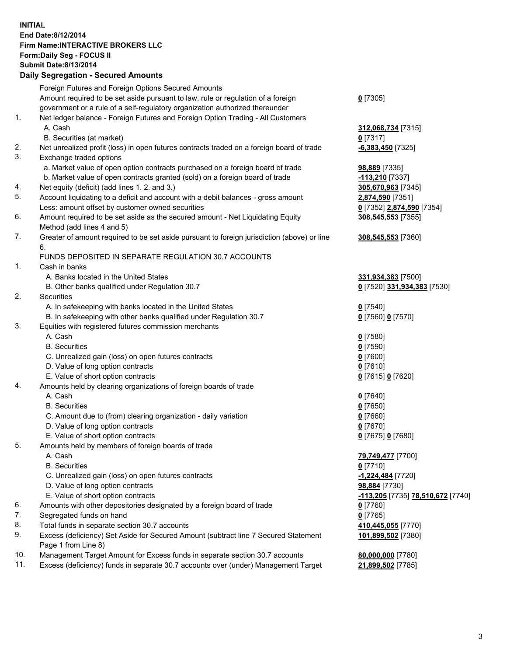## **INITIAL End Date:8/12/2014 Firm Name:INTERACTIVE BROKERS LLC Form:Daily Seg - FOCUS II Submit Date:8/13/2014 Daily Segregation - Secured Amounts**

|     | Daily Segregation - Secured Amounts                                                                        |                                   |
|-----|------------------------------------------------------------------------------------------------------------|-----------------------------------|
|     | Foreign Futures and Foreign Options Secured Amounts                                                        |                                   |
|     | Amount required to be set aside pursuant to law, rule or regulation of a foreign                           | $0$ [7305]                        |
|     | government or a rule of a self-regulatory organization authorized thereunder                               |                                   |
| 1.  | Net ledger balance - Foreign Futures and Foreign Option Trading - All Customers                            |                                   |
|     | A. Cash                                                                                                    | 312,068,734 [7315]                |
|     | B. Securities (at market)                                                                                  | $0$ [7317]                        |
| 2.  | Net unrealized profit (loss) in open futures contracts traded on a foreign board of trade                  | $-6,383,450$ [7325]               |
| 3.  | Exchange traded options                                                                                    |                                   |
|     | a. Market value of open option contracts purchased on a foreign board of trade                             | <b>98,889</b> [7335]              |
|     | b. Market value of open contracts granted (sold) on a foreign board of trade                               | $-113,210$ [7337]                 |
| 4.  | Net equity (deficit) (add lines 1.2. and 3.)                                                               | 305,670,963 [7345]                |
| 5.  | Account liquidating to a deficit and account with a debit balances - gross amount                          | 2,874,590 [7351]                  |
|     | Less: amount offset by customer owned securities                                                           | 0 [7352] 2,874,590 [7354]         |
| 6.  | Amount required to be set aside as the secured amount - Net Liquidating Equity                             | 308,545,553 [7355]                |
|     | Method (add lines 4 and 5)                                                                                 |                                   |
| 7.  | Greater of amount required to be set aside pursuant to foreign jurisdiction (above) or line                | 308,545,553 [7360]                |
|     | 6.                                                                                                         |                                   |
|     | FUNDS DEPOSITED IN SEPARATE REGULATION 30.7 ACCOUNTS                                                       |                                   |
| 1.  | Cash in banks                                                                                              |                                   |
|     | A. Banks located in the United States                                                                      | 331,934,383 [7500]                |
|     | B. Other banks qualified under Regulation 30.7                                                             | 0 [7520] 331,934,383 [7530]       |
| 2.  | Securities                                                                                                 |                                   |
|     | A. In safekeeping with banks located in the United States                                                  | $0$ [7540]                        |
|     | B. In safekeeping with other banks qualified under Regulation 30.7                                         | 0 [7560] 0 [7570]                 |
| 3.  | Equities with registered futures commission merchants                                                      |                                   |
|     | A. Cash                                                                                                    | $0$ [7580]                        |
|     | <b>B.</b> Securities                                                                                       | $0$ [7590]                        |
|     | C. Unrealized gain (loss) on open futures contracts                                                        | $0$ [7600]                        |
|     | D. Value of long option contracts                                                                          | $0$ [7610]                        |
|     | E. Value of short option contracts                                                                         | 0 [7615] 0 [7620]                 |
| 4.  | Amounts held by clearing organizations of foreign boards of trade                                          |                                   |
|     | A. Cash                                                                                                    | $0$ [7640]                        |
|     | <b>B.</b> Securities                                                                                       | $0$ [7650]                        |
|     | C. Amount due to (from) clearing organization - daily variation                                            | $0$ [7660]                        |
|     | D. Value of long option contracts                                                                          | $0$ [7670]                        |
|     | E. Value of short option contracts                                                                         | 0 [7675] 0 [7680]                 |
| 5.  | Amounts held by members of foreign boards of trade                                                         |                                   |
|     | A. Cash                                                                                                    | 79,749,477 [7700]                 |
|     | <b>B.</b> Securities                                                                                       | $0$ [7710]                        |
|     | C. Unrealized gain (loss) on open futures contracts                                                        | -1,224,484 [7720]                 |
|     | D. Value of long option contracts                                                                          | 98,884 [7730]                     |
|     | E. Value of short option contracts                                                                         | -113,205 [7735] 78,510,672 [7740] |
| 6.  | Amounts with other depositories designated by a foreign board of trade                                     | $0$ [7760]                        |
| 7.  | Segregated funds on hand                                                                                   | $0$ [7765]                        |
| 8.  | Total funds in separate section 30.7 accounts                                                              | 410,445,055 [7770]                |
| 9.  | Excess (deficiency) Set Aside for Secured Amount (subtract line 7 Secured Statement<br>Page 1 from Line 8) | 101,899,502 [7380]                |
| 10. | Management Target Amount for Excess funds in separate section 30.7 accounts                                | 80,000,000 [7780]                 |
| 11. | Excess (deficiency) funds in separate 30.7 accounts over (under) Management Target                         | 21,899,502 [7785]                 |
|     |                                                                                                            |                                   |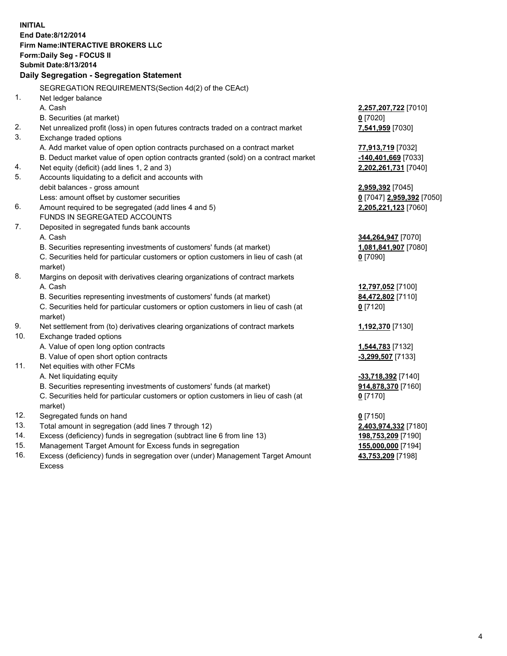**INITIAL End Date:8/12/2014 Firm Name:INTERACTIVE BROKERS LLC Form:Daily Seg - FOCUS II Submit Date:8/13/2014 Daily Segregation - Segregation Statement** SEGREGATION REQUIREMENTS(Section 4d(2) of the CEAct) 1. Net ledger balance A. Cash **2,257,207,722** [7010] B. Securities (at market) **0** [7020] 2. Net unrealized profit (loss) in open futures contracts traded on a contract market **7,541,959** [7030] 3. Exchange traded options A. Add market value of open option contracts purchased on a contract market **77,913,719** [7032] B. Deduct market value of open option contracts granted (sold) on a contract market **-140,401,669** [7033] 4. Net equity (deficit) (add lines 1, 2 and 3) **2,202,261,731** [7040] 5. Accounts liquidating to a deficit and accounts with debit balances - gross amount **2,959,392** [7045] Less: amount offset by customer securities **0** [7047] **2,959,392** [7050] 6. Amount required to be segregated (add lines 4 and 5) **2,205,221,123** [7060] FUNDS IN SEGREGATED ACCOUNTS 7. Deposited in segregated funds bank accounts A. Cash **344,264,947** [7070] B. Securities representing investments of customers' funds (at market) **1,081,841,907** [7080] C. Securities held for particular customers or option customers in lieu of cash (at market) **0** [7090] 8. Margins on deposit with derivatives clearing organizations of contract markets A. Cash **12,797,052** [7100] B. Securities representing investments of customers' funds (at market) **84,472,802** [7110] C. Securities held for particular customers or option customers in lieu of cash (at market) **0** [7120] 9. Net settlement from (to) derivatives clearing organizations of contract markets **1,192,370** [7130] 10. Exchange traded options A. Value of open long option contracts **1,544,783** [7132] B. Value of open short option contracts **-3,299,507** [7133] 11. Net equities with other FCMs A. Net liquidating equity **-33,718,392** [7140] B. Securities representing investments of customers' funds (at market) **914,878,370** [7160] C. Securities held for particular customers or option customers in lieu of cash (at market) **0** [7170] 12. Segregated funds on hand **0** [7150] 13. Total amount in segregation (add lines 7 through 12) **2,403,974,332** [7180] 14. Excess (deficiency) funds in segregation (subtract line 6 from line 13) **198,753,209** [7190] 15. Management Target Amount for Excess funds in segregation **155,000,000** [7194]

16. Excess (deficiency) funds in segregation over (under) Management Target Amount Excess

**43,753,209** [7198]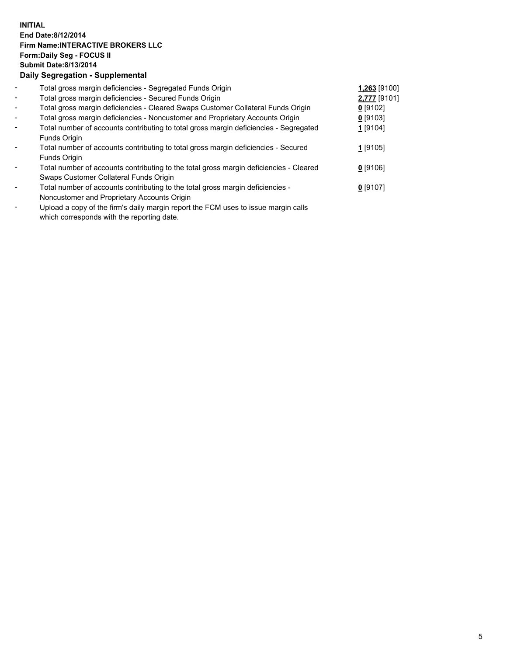## **INITIAL End Date:8/12/2014 Firm Name:INTERACTIVE BROKERS LLC Form:Daily Seg - FOCUS II Submit Date:8/13/2014 Daily Segregation - Supplemental**

| $\overline{\phantom{a}}$ | Total gross margin deficiencies - Segregated Funds Origin                              | 1,263 [9100] |  |
|--------------------------|----------------------------------------------------------------------------------------|--------------|--|
| $\blacksquare$           | Total gross margin deficiencies - Secured Funds Origin                                 | 2,777 [9101] |  |
| $\blacksquare$           | Total gross margin deficiencies - Cleared Swaps Customer Collateral Funds Origin       | $0$ [9102]   |  |
| $\blacksquare$           | Total gross margin deficiencies - Noncustomer and Proprietary Accounts Origin          | $0$ [9103]   |  |
| $\blacksquare$           | Total number of accounts contributing to total gross margin deficiencies - Segregated  | 1 [9104]     |  |
|                          | Funds Origin                                                                           |              |  |
|                          | Total number of accounts contributing to total gross margin deficiencies - Secured     | 1 [9105]     |  |
|                          | Funds Origin                                                                           |              |  |
|                          | Total number of accounts contributing to the total gross margin deficiencies - Cleared | $0$ [9106]   |  |
|                          | Swaps Customer Collateral Funds Origin                                                 |              |  |
|                          | Total number of accounts contributing to the total gross margin deficiencies -         | $0$ [9107]   |  |
|                          | Noncustomer and Proprietary Accounts Origin                                            |              |  |
|                          |                                                                                        |              |  |

- Upload a copy of the firm's daily margin report the FCM uses to issue margin calls which corresponds with the reporting date.